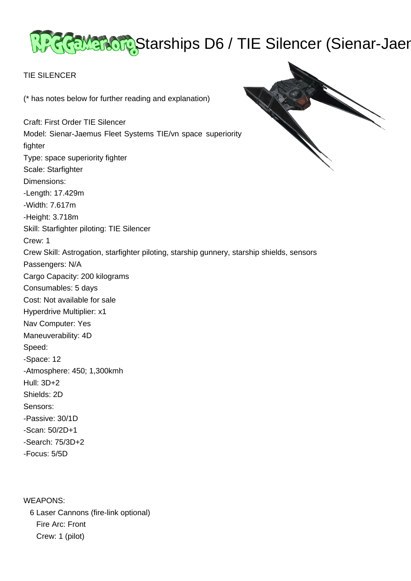# ReeMarchips D6 / TIE Silencer (Sienar-Jaer

## TIE SILENCER

(\* has notes below for further reading and explanation)

Craft: First Order TIE Silencer Model: Sienar-Jaemus Fleet Systems TIE/vn space superiority fighter Type: space superiority fighter Scale: Starfighter Dimensions: -Length: 17.429m -Width: 7.617m -Height: 3.718m Skill: Starfighter piloting: TIE Silencer Crew: 1 Crew Skill: Astrogation, starfighter piloting, starship gunnery, starship shields, sensors Passengers: N/A Cargo Capacity: 200 kilograms Consumables: 5 days Cost: Not available for sale Hyperdrive Multiplier: x1 Nav Computer: Yes Maneuverability: 4D Speed: -Space: 12 -Atmosphere: 450; 1,300kmh Hull: 3D+2 Shields: 2D Sensors: -Passive: 30/1D -Scan: 50/2D+1 -Search: 75/3D+2 -Focus: 5/5D

WEAPONS: 6 Laser Cannons (fire-link optional) Fire Arc: Front Crew: 1 (pilot)

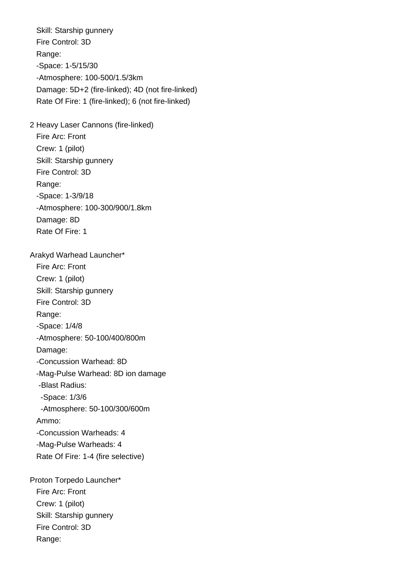Skill: Starship gunnery Fire Control: 3D Range: -Space: 1-5/15/30 -Atmosphere: 100-500/1.5/3km Damage: 5D+2 (fire-linked); 4D (not fire-linked) Rate Of Fire: 1 (fire-linked); 6 (not fire-linked)

2 Heavy Laser Cannons (fire-linked)

 Fire Arc: Front Crew: 1 (pilot) Skill: Starship gunnery Fire Control: 3D Range: -Space: 1-3/9/18 -Atmosphere: 100-300/900/1.8km Damage: 8D Rate Of Fire: 1

 Arakyd Warhead Launcher\* Fire Arc: Front Crew: 1 (pilot) Skill: Starship gunnery Fire Control: 3D Range: -Space: 1/4/8 -Atmosphere: 50-100/400/800m Damage: -Concussion Warhead: 8D -Mag-Pulse Warhead: 8D ion damage -Blast Radius: -Space: 1/3/6 -Atmosphere: 50-100/300/600m Ammo: -Concussion Warheads: 4 -Mag-Pulse Warheads: 4 Rate Of Fire: 1-4 (fire selective)

 Proton Torpedo Launcher\* Fire Arc: Front Crew: 1 (pilot) Skill: Starship gunnery Fire Control: 3D Range: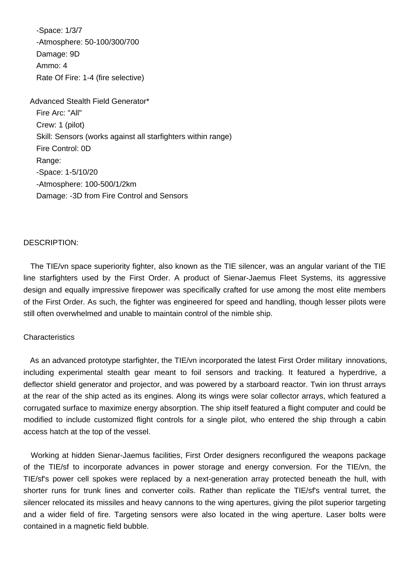-Space: 1/3/7 -Atmosphere: 50-100/300/700 Damage: 9D Ammo: 4 Rate Of Fire: 1-4 (fire selective)

 Advanced Stealth Field Generator\* Fire Arc: "All" Crew: 1 (pilot) Skill: Sensors (works against all starfighters within range) Fire Control: 0D Range: -Space: 1-5/10/20 -Atmosphere: 100-500/1/2km Damage: -3D from Fire Control and Sensors

#### DESCRIPTION:

 The TIE/vn space superiority fighter, also known as the TIE silencer, was an angular variant of the TIE line starfighters used by the First Order. A product of Sienar-Jaemus Fleet Systems, its aggressive design and equally impressive firepower was specifically crafted for use among the most elite members of the First Order. As such, the fighter was engineered for speed and handling, though lesser pilots were still often overwhelmed and unable to maintain control of the nimble ship.

## **Characteristics**

 As an advanced prototype starfighter, the TIE/vn incorporated the latest First Order military innovations, including experimental stealth gear meant to foil sensors and tracking. It featured a hyperdrive, a deflector shield generator and projector, and was powered by a starboard reactor. Twin ion thrust arrays at the rear of the ship acted as its engines. Along its wings were solar collector arrays, which featured a corrugated surface to maximize energy absorption. The ship itself featured a flight computer and could be modified to include customized flight controls for a single pilot, who entered the ship through a cabin access hatch at the top of the vessel.

 Working at hidden Sienar-Jaemus facilities, First Order designers reconfigured the weapons package of the TIE/sf to incorporate advances in power storage and energy conversion. For the TIE/vn, the TIE/sf's power cell spokes were replaced by a next-generation array protected beneath the hull, with shorter runs for trunk lines and converter coils. Rather than replicate the TIE/sf's ventral turret, the silencer relocated its missiles and heavy cannons to the wing apertures, giving the pilot superior targeting and a wider field of fire. Targeting sensors were also located in the wing aperture. Laser bolts were contained in a magnetic field bubble.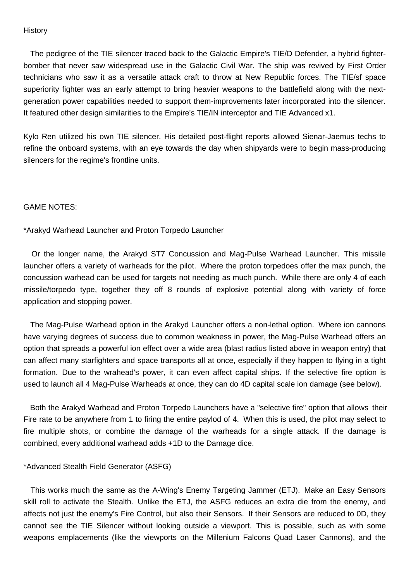#### **History**

 The pedigree of the TIE silencer traced back to the Galactic Empire's TIE/D Defender, a hybrid fighterbomber that never saw widespread use in the Galactic Civil War. The ship was revived by First Order technicians who saw it as a versatile attack craft to throw at New Republic forces. The TIE/sf space superiority fighter was an early attempt to bring heavier weapons to the battlefield along with the nextgeneration power capabilities needed to support them-improvements later incorporated into the silencer. It featured other design similarities to the Empire's TIE/IN interceptor and TIE Advanced x1.

Kylo Ren utilized his own TIE silencer. His detailed post-flight reports allowed Sienar-Jaemus techs to refine the onboard systems, with an eye towards the day when shipyards were to begin mass-producing silencers for the regime's frontline units.

## GAME NOTES:

\*Arakyd Warhead Launcher and Proton Torpedo Launcher

 Or the longer name, the Arakyd ST7 Concussion and Mag-Pulse Warhead Launcher. This missile launcher offers a variety of warheads for the pilot. Where the proton torpedoes offer the max punch, the concussion warhead can be used for targets not needing as much punch. While there are only 4 of each missile/torpedo type, together they off 8 rounds of explosive potential along with variety of force application and stopping power.

 The Mag-Pulse Warhead option in the Arakyd Launcher offers a non-lethal option. Where ion cannons have varying degrees of success due to common weakness in power, the Mag-Pulse Warhead offers an option that spreads a powerful ion effect over a wide area (blast radius listed above in weapon entry) that can affect many starfighters and space transports all at once, especially if they happen to flying in a tight formation. Due to the wrahead's power, it can even affect capital ships. If the selective fire option is used to launch all 4 Mag-Pulse Warheads at once, they can do 4D capital scale ion damage (see below).

 Both the Arakyd Warhead and Proton Torpedo Launchers have a "selective fire" option that allows their Fire rate to be anywhere from 1 to firing the entire paylod of 4. When this is used, the pilot may select to fire multiple shots, or combine the damage of the warheads for a single attack. If the damage is combined, every additional warhead adds +1D to the Damage dice.

## \*Advanced Stealth Field Generator (ASFG)

 This works much the same as the A-Wing's Enemy Targeting Jammer (ETJ). Make an Easy Sensors skill roll to activate the Stealth. Unlike the ETJ, the ASFG reduces an extra die from the enemy, and affects not just the enemy's Fire Control, but also their Sensors. If their Sensors are reduced to 0D, they cannot see the TIE Silencer without looking outside a viewport. This is possible, such as with some weapons emplacements (like the viewports on the Millenium Falcons Quad Laser Cannons), and the